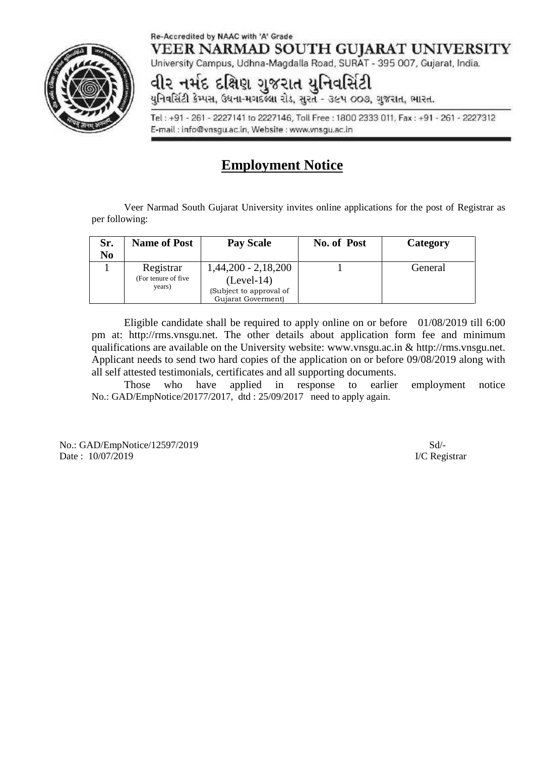#### Re-Accredited by NAAC with 'A' Grade VEER NARMAD SOUTH GUJARAT UNIVERSITY



University Campus, Udhna-Magdalla Road, SURAT - 395 007, Gujarat, India.

# વીર નર્મદ દક્ષિણ ગુજરાત યુનિવર્સિટી<br>યુનિવર્સિટી કેમ્પસ, ઉધના-મગદલ્યા રોડ, સુરત - ૩૯૫ ૦૦૭, ગુજરાત, ભારત.

Tel: +91 - 261 - 2227141 to 2227146, Toll Free: 1800 2333 011, Fax: +91 - 261 - 2227312 E-mail: info@vnsgu.ac.in, Website: www.vnsgu.ac.in

# **Employment Notice**

Veer Narmad South Gujarat University invites online applications for the post of Registrar as per following:

| Sr.<br>No | <b>Name of Post</b>  | <b>Pay Scale</b>        | No. of Post | Category |
|-----------|----------------------|-------------------------|-------------|----------|
|           | Registrar            | $1,44,200 - 2,18,200$   |             | General  |
|           | (For tenure of five) | $(Level-14)$            |             |          |
|           | years)               | (Subject to approval of |             |          |
|           |                      | Gujarat Goverment)      |             |          |

Eligible candidate shall be required to apply online on or before 01/08/2019 till 6:00 pm at: http://rms.vnsgu.net. The other details about application form fee and minimum qualifications are available on the University website: www.vnsgu.ac.in & http://rms.vnsgu.net. Applicant needs to send two hard copies of the application on or before 09/08/2019 along with all self attested testimonials, certificates and all supporting documents.

Those who have applied in response to earlier employment notice No.: GAD/EmpNotice/20177/2017, dtd : 25/09/2017 need to apply again.

No.: GAD/EmpNotice/12597/2019 Sd/- Date : 10/07/2019 I/C Registrar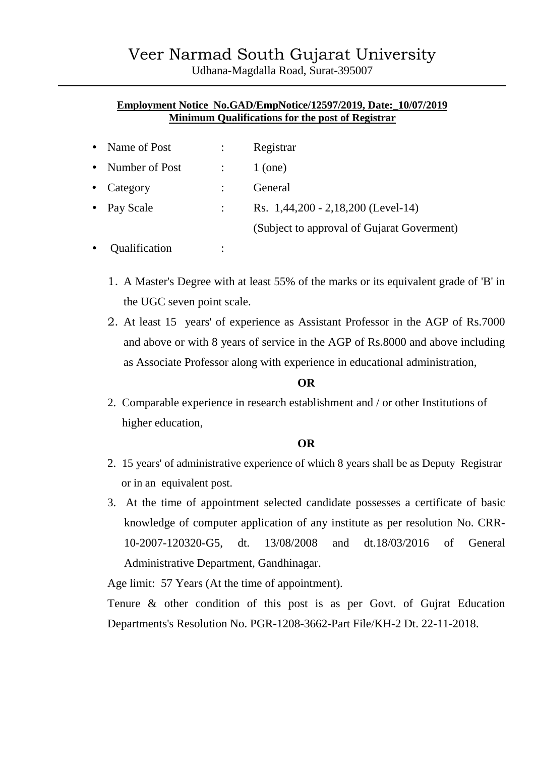# **Employment Notice No.GAD/EmpNotice/12597/2019, Date:\_10/07/2019 Minimum Qualifications for the post of Registrar**

| • Name of Post   | Registrar                                  |
|------------------|--------------------------------------------|
| • Number of Post | $1$ (one)                                  |
| • Category       | General                                    |
| • Pay Scale      | Rs. $1,44,200 - 2,18,200$ (Level-14)       |
|                  | (Subject to approval of Gujarat Goverment) |

- Qualification :
	- 1. A Master's Degree with at least 55% of the marks or its equivalent grade of 'B' in the UGC seven point scale.
	- 2. At least 15 years' of experience as Assistant Professor in the AGP of Rs.7000 and above or with 8 years of service in the AGP of Rs.8000 and above including as Associate Professor along with experience in educational administration,

# **OR**

2. Comparable experience in research establishment and / or other Institutions of higher education,

# **OR**

- 2. 15 years' of administrative experience of which 8 years shall be as Deputy Registrar or in an equivalent post.
- 3. At the time of appointment selected candidate possesses a certificate of basic knowledge of computer application of any institute as per resolution No. CRR- 10-2007-120320-G5, dt. 13/08/2008 and dt.18/03/2016 of General Administrative Department, Gandhinagar.

Age limit: 57 Years (At the time of appointment).

Tenure & other condition of this post is as per Govt. of Gujrat Education Departments's Resolution No. PGR-1208-3662-Part File/KH-2 Dt. 22-11-2018.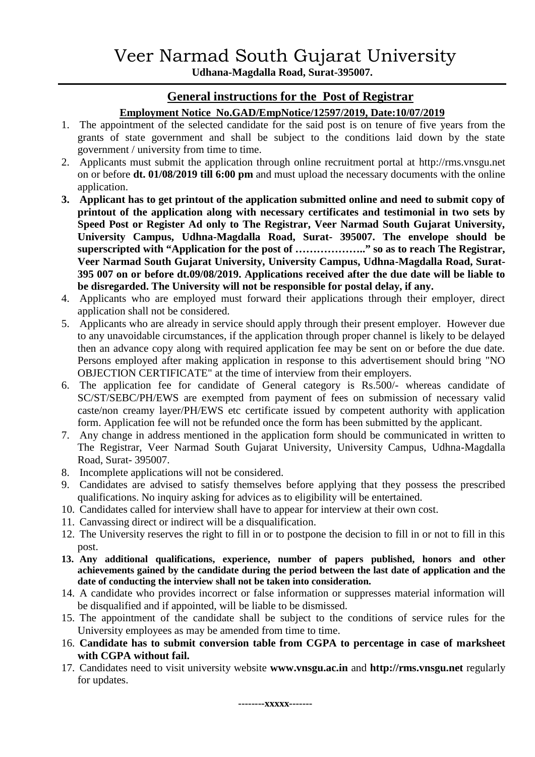**Udhana-Magdalla Road, Surat-395007.**

# **General instructions for the Post of Registrar**

# **Employment Notice No.GAD/EmpNotice/12597/2019, Date:10/07/2019**

- 1. The appointment of the selected candidate for the said post is on tenure of five years from the grants of state government and shall be subject to the conditions laid down by the state government / university from time to time.
- 2. Applicants must submit the application through online recruitment portal at http://rms.vnsgu.net on or before **dt.01/08/2019 till 6:00 pm** and must upload the necessary documents with the online application.
- **3. Applicant has to get printout of the application submitted online and need to submit copy of printout of the application along with necessary certificates and testimonial in two sets by Speed Post or Register Ad only to The Registrar, Veer Narmad South Gujarat University, University Campus, Udhna-Magdalla Road, Surat- 395007. The envelope should be superscripted with "Application for the post of ……………….." so as to reach The Registrar, Veer Narmad South Gujarat University, University Campus, Udhna-Magdalla Road, Surat- 395 007 on or before dt.09/08/2019. Applications received after the due date will be liable to be disregarded. The University will not be responsible for postal delay, if any.**
- 4. Applicants who are employed must forward their applications through their employer, direct application shall not be considered.
- 5. Applicants who are already in service should apply through their present employer. However due to any unavoidable circumstances, if the application through proper channel is likely to be delayed then an advance copy along with required application fee may be sent on or before the due date. Persons employed after making application in response to this advertisement should bring "NO OBJECTION CERTIFICATE" at the time of interview from their employers.
- 6. The application fee for candidate of General category is Rs.500/- whereas candidate of SC/ST/SEBC/PH/EWS are exempted from payment of fees on submission of necessary valid caste/non creamy layer/PH/EWS etc certificate issued by competent authority with application form. Application fee will not be refunded once the form has been submitted by the applicant.
- 7. Any change in address mentioned in the application form should be communicated in written to The Registrar, Veer Narmad South Gujarat University, University Campus, Udhna-Magdalla Road, Surat- 395007.
- 8. Incomplete applications will not be considered.
- 9. Candidates are advised to satisfy themselves before applying that they possess the prescribed qualifications. No inquiry asking for advices as to eligibility will be entertained.
- 10. Candidates called for interview shall have to appear for interview at their own cost.
- 11. Canvassing direct or indirect will be a disqualification.
- 12. The University reserves the right to fill in or to postpone the decision to fill in or not to fill in this post.
- **13. Any additional qualifications, experience, number of papers published, honors and other achievements gained by the candidate during the period between the last date of application and the date of conducting the interview shall not be taken into consideration.**
- 14. A candidate who provides incorrect or false information or suppresses material information will be disqualified and if appointed, will be liable to be dismissed.
- 15. The appointment of the candidate shall be subject to the conditions of service rules for the University employees as may be amended from time to time.
- 16. **Candidate has to submit conversion table from CGPA to percentage in case of marksheet with CGPA without fail.**
- 17. Candidates need to visit university website **www.vnsgu.ac.in** and **http://rms.vnsgu.net** regularly for updates.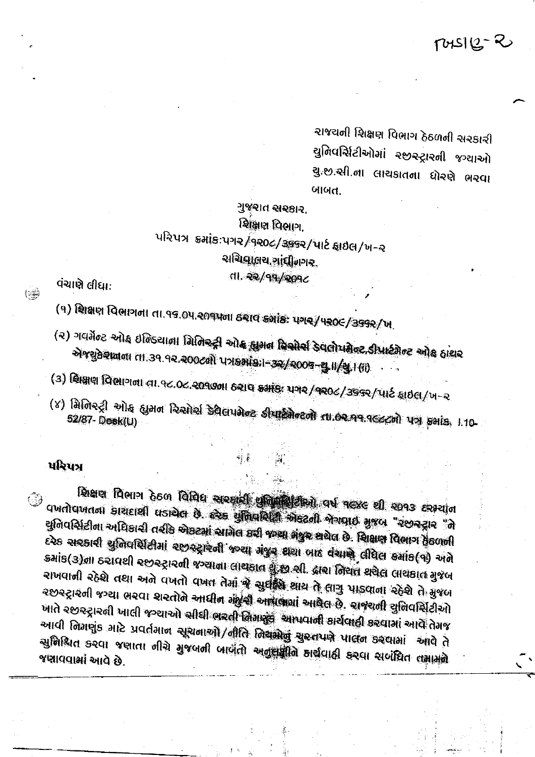$TUSIQ - R$ 

રાજચની શિક્ષણ વિભાગ ઠેઠળની સરકારી સુનિવર્સિટીઓમાં સ્છસ્ટ્રારની જગ્યાઓ સુ.છ.સી.ના લાચકાતના ધોરણે ભરવા બાબત.

ગુજરાત સરકાર. शिक्षाण विભाग. પરિપત્ર ક્રમોક:પગર વિર૦૯/૩૬૬ર/પાર્ટ ફાઇલ/ખ-ર ચચિલાલય ગાંધીનગર dl. *૨૨/૧૧/૨૦૧૮* 

વંચાણે લીધા:

 $\overline{(\equiv)}$ 

 $(9)$  सिक्षण विलागमा ता.१९.०५.२०१५मा ठ२ाव ड्यांड: पगर/५२०८/३९९२/ખ.

- (२) गलर्मेण्ड ऱ्योड छलिड्याला मिलिस्ट्री स्पोड हुमल रिसोर्स डेवलोयमेल्ट डीपार्टमेल्ट ओड हारार गो मुझे मुक्त कु-२००८को पुरुष हो किऽ००८ पनि पर्यानि गोय प्रविद्यालय
- (3) શ્રિક્ષણ વિભાગના તા.૧૮.૦૮.૨૦૧૭ના ઠરાવ ક્રમાંક: પગર/૧૨૦૮/૩૬૬૨/પાર્ટ ફાઇલ/ખ-૨

(४) विजिश्ट्री ओह ह्युमन रिश्मेर्श डेवैसपमेल्ट डीयाईमेल्टली ता.०२.११.१६८८लो पत्र हमांड, । १०-

## પરિપત્ર

Plan Denn don Dide appeal ground and next el 2093 exector વખતોવખતના કારાદાશી ઘડાયેલ છે. હરેક યુનિવર્સિટી એકટની જેગવાઈ મુજબ "રછરદ્રાર "ને સુનિવર્સિટીના અધિકારી તરીકે એકટમાં આગેલ કરી જગ્યા ગંજુર શચેલ છે. શિક્ષણ વિભાગ ફેંકળની દરેક સરકારી યુનિવર્સિટીમાં રજીરસારની જન્યા મંજૂર શયા બાદ વંચાણે લીધેલ કમાંક(૧) અને કમાંક(૩)ના ઠરાવશી રછરટ્રારની જગ્યાના લાથકાત શુજી સી. દ્વારા નિયત થયેલ લાયકાત મુજબ રાખવાની રહેશે તથા અને વખતો વખત તેમાં જે સુરક્ષિ શાય તે લાગુ પાડવાના રહેશે તે મુજબ રછસ્ટ્રારની જગ્યા ભરવા શરતોને આધીન મંબુની આપણામાં આવેલ છે. રાજરાની યુનિવર્સિટીઓ ખાતે ૨૭૭૨ટ્રારની ખાલી જગ્યાઓ સીધી ભરતી નિનાણુક આપવાની કાર્ચવાહી કરવામાં આવે તેમજ આવી નિમણુંક માટે પ્રવર્તમાન સૂચનાઓ/નીતિ નિચમોનું ચુસ્તપણે પાલન કરવામાં આવે તે सुनिश्चित કरवा ४साता नीचे मुक्लनी जालती अनुसंबुति अर्थवाही डरवा सर्वदित तक्षामने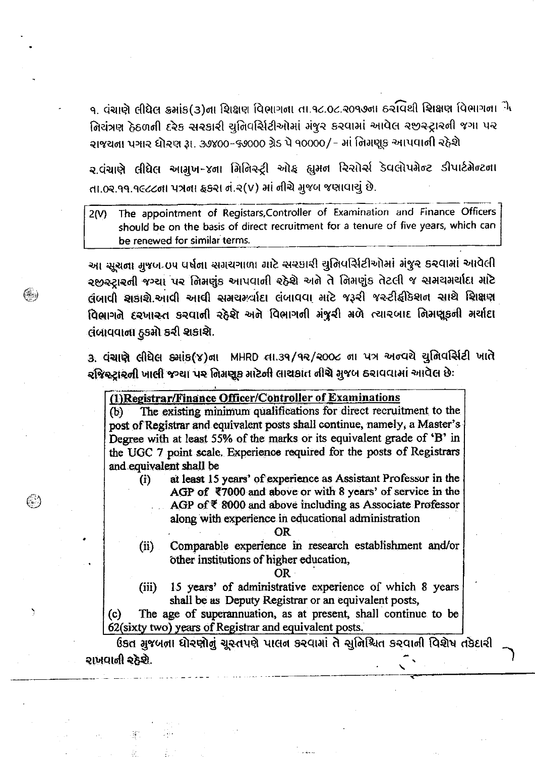१. વંચાણે લીધેલ ક્રમાંક(3)ના શિક્ષણ વિભાગના તા.૧૮.૦૮.૨૦૧૭ના ઠરવિથી શિક્ષણ વિભાગના<sup>ં</sup>મે નિચંત્રણ ઠેઠળની દરેક સરકારી ચુનિવર્સિટીઓમાં મંજૂર કરવામાં આવેલ રજીસ્ટ્રારની જગા પર રાજચના પગાર ધોરણ રૂા. ૩૭૪૦૦-૬૭૦૦૦ ગ્રેડ પે ૧૦૦૦૦/- માં નિમણૂક આપવાની રહેશે

ર વંચાણે લીધેલ આમુખ-૪ના મિનિસ્ટ્રી ઓફ હ્યુમન રિસોર્સ ડેવલોપમેન્ટ ડીપાર્ટમેન્ટના તા.0ર.૧૧.૧૯૮૮૪ના પત્રના ફકરા નં.૨(v) માં નીચે મુજબ જણાવાચું છે.

The appointment of Registars, Controller of Examination and Finance Officers  $2(N)$ should be on the basis of direct recruitment for a tenure of five years, which can be renewed for similar terms.

આ સૂચના મુજબ oપ વર્ષના સગરાગાળા માટે સરકારી ચુનિવર્સિટીઓમાં મંજુર કરવામાં આવેલી રજીરુટારની જગ્યા પર નિમણુંક આપવાની રહેશે અને તે નિમણુંક તેટલી જ સમયમર્થાદા માટે લંબાવી શકાશે.આવી આવી સમયમર્યાદા લંબાવવા માટે જરૂરી જસ્ટીફ્રીકેશન સાથે શિક્ષણ विભ्रागते दृश्णास्त डश्यानी २ठेशे अने विभागनी मंथुरी मेणे त्यारयाह निमधुड़नी मर्याहा લંબાવવાના ઠુકમો કરી શકાશે.

3. पंचाणे सीधेस झांड(४)ना MHRD ता.39/92/2006 ना पत्र अन्यये युनिवर्सिटी जाते રજિસ્ટ્રારની ખાલી જગ્યા પર નિમણૂક માટેની લાયકાત નીચે મુજબ ઠરાવવામાં આવેલ છે:

## (1) Registrar/Finance Officer/Controller of Examinations

(∰)

☺

١

The existing minimum qualifications for direct recruitment to the  $(b)$ post of Registrar and equivalent posts shall continue, namely, a Master's Degree with at least 55% of the marks or its equivalent grade of 'B' in the UGC 7 point scale. Experience required for the posts of Registrars and equivalent shall be

at least 15 years' of experience as Assistant Professor in the  $\left( i\right)$ AGP of  $\overline{*}7000$  and above or with 8 years' of service in the AGP of ₹ 8000 and above including as Associate Professor along with experience in educational administration

OR.

 $(ii)$ Comparable experience in research establishment and/or other institutions of higher education,

OR.

15 years' of administrative experience of which 8 years  $(iii)$ shall be as Deputy Registrar or an equivalent posts,

 $(c)$ The age of superannuation, as at present, shall continue to be 62(sixty two) years of Registrar and equivalent posts.

ઉકત મુજબના ધોરણોનું ચૂસ્તપણે પાલન કરવામાં તે સુનિશ્ચિત કરવાની વિશેષ તકેદારી રાખવાની રહેશે.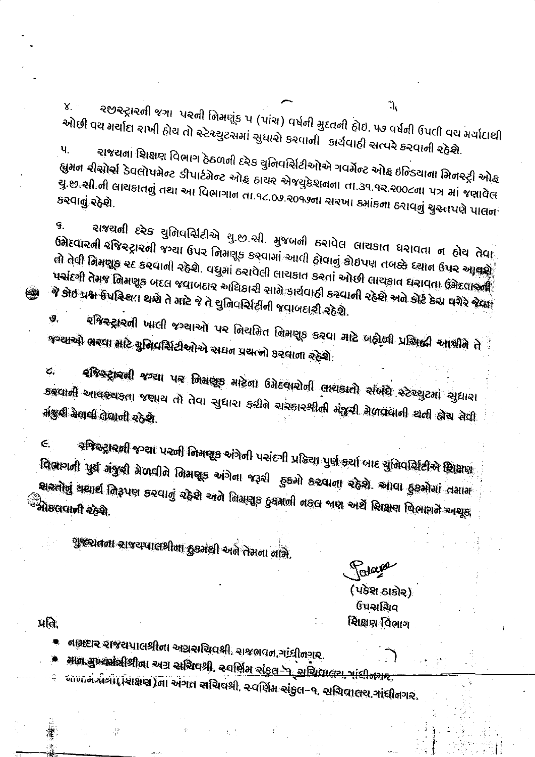૨૭૨ટ્રા૨૦ી જગા પ૨૦ી નિમણૂંક પ (પાંચ) વર્ષની મુદતની ઠોઇ. ૫૭ વર્ષની ઉપલી વચ મર્ચાદાથી ઓછી વય મર્યાદા રાખી ઠોચ તો રનેરચ્યુટરામાં સુધારો કરવાની કાર્ચવાઠી સત્વરે કરવાની રહેશે.  $\mathbf{u}$ 

રાજચના શિક્ષણ વિભાગ ઠેઠળની દરેક ચુનિવર્સિટીઓએ ગવર્મેન્ટ ઓફ ઇન્ડિયાના મિનસ્ટ્રી ઓ<sub>ર્લ</sub> .<br>ह्युमन रीसोर्स डेवलोपमेन्ट डीपार्टमेन्ट ओह हायर सेन्न्युडेशनना ता.उ१.१२.२००८ना पत्र मां न्न्यावेल યું.છ.સી.ની લાચકાતનું તથા આ વિભાગાન તા.૧૮.૦૭.૨૦૧૭ના સરખા ક્યાંકના ઠરાવનું ચુસ્તપણે પાલન<sup>ે</sup> કરવાનું રહેશે.

ચાજરાતી દરેક યુનિવર્સિટીએ યુ.છ.સી. મુજબની ઠરાવેલ લાચકાત ધરાવતા ન ઠોચ તેવા<sub>ં</sub> ઉત્તેદવારની રજિસ્ટ્રારની જગ્યા ઉપર નિમણૂક કરવામાં આવી હોવાનું કોઇપણ તબક્કે દચાન ઉપર આવશે તો તેવી તિમજૂક ૨૯ ક૨વાની રહેશે. વધુમાં ઠ૨ાવેલી લાચકાત ક૨તાં ઓછી લાચકાત ઘરાવતા ઉગ્રેદવાઓ પચાંદગી તેમજ તિમણૂક બદલ જવાબદાર અધિકારી સામે કાર્યવાહી કરવાની રહેશે અને કોર્ટ કેસ વગેરે જેવા<sup>ં</sup> જે કોઈ પ્રશ્ન ઉપસ્થિત થશે તે માટે જે તે ચુનિવર્સિટીની જવાબદારી રહેશે.

રજિસ્ટ્રારની ખાલી જગ્યાઓ પર નિયમિત નિમણૂક કરવા માટે બહોલી પ્રસિદ્ધી આપીને તે Ý. જગ્યાઓ ભરવા માટે યુનિવર્સિટીઓએ સદાન પ્રચત્નો કરવાના રહેશે.

**રજિસ્ટ્રારની જગ્યા પર નિમણૂક માટેના ઉમેદવારોની લાયકાતો સંબંધે સ્ટેચ્યુટમાં સુધારા** Ĉ. अख्यानी આવશ્ચકતા જણાય તો તેવા સુધારા કરીને સરકારશ્રીની મંજુરી મેળવવાની થતી હોય તેવી મંજુરી મેલવી લેવાની રહેશે.

રજિસ્ટ્રારાની જગ્યા પરની નિમણૂક અંગેની પસંદગી પ્રક્રિયા પુર્ણ કર્યા બાદ યુનિવર્સિટીએ શિક્ષણ  $\epsilon$ विवागती पुर्व मंथुली मेजदीते तिमधूड अंगेता ४३२ी हुडमो डरवाता २ठेशे. आवा हुडमोमां तमाम શ્વરતોનું ચયાર્થ નિરૂપણ કરવાનું રહેશે અને નિમણૂક ઠુકમની નકલ બણ અર્થે શિક્ષણ વિભાગને અશૂક ્રી<br>'મોકલવાની રહેશે.

ગુજરાતના રાજયપાલથીના દુકમંથી અને તેમના નામે.

Takes

(પકેશ ઠાકોર) ઉપસચિવ શિક્ષણ વિભાગ

 $\mathcal{A}$ ।

Υ.

9.

e

વામદાર રાજસપાલશ્રીના અગ્રસચિવક્ષી, રાજભવન, માંધીનગર.

માંશ મુખ્યમંત્રીશ્રીના અગ્ર સચિવશ્રી, સ્વર્ણિમ સંકુ<u>લ પર સચિવાલય, માંદીનગર</u>

આંગ ન મીચી (શિક્ષણ)ના અંગત સચિવશ્રી, ર વર્ણિમ સંકુલ-૧, સચિવાલય,ગાંધીનગર,